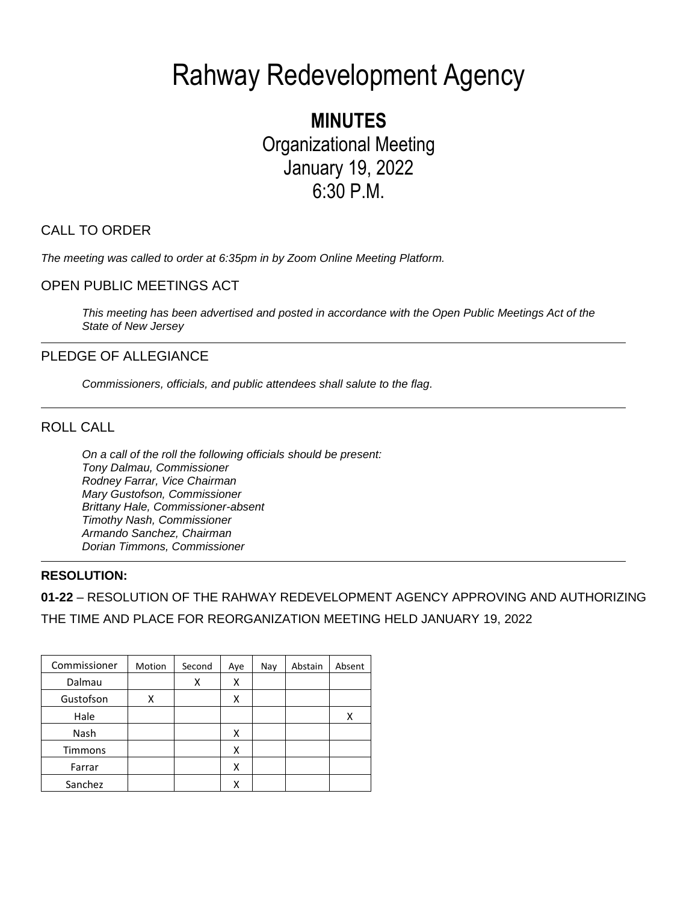# Rahway Redevelopment Agency

# **MINUTES** Organizational Meeting January 19, 2022 6:30 P.M.

# CALL TO ORDER

*The meeting was called to order at 6:35pm in by Zoom Online Meeting Platform.* 

#### OPEN PUBLIC MEETINGS ACT

*This meeting has been advertised and posted in accordance with the Open Public Meetings Act of the State of New Jersey*

#### PLEDGE OF ALLEGIANCE

*Commissioners, officials, and public attendees shall salute to the flag.*

#### ROLL CALL

*On a call of the roll the following officials should be present: Tony Dalmau, Commissioner Rodney Farrar, Vice Chairman Mary Gustofson, Commissioner Brittany Hale, Commissioner-absent Timothy Nash, Commissioner Armando Sanchez, Chairman Dorian Timmons, Commissioner*

#### **RESOLUTION:**

**01-22** – RESOLUTION OF THE RAHWAY REDEVELOPMENT AGENCY APPROVING AND AUTHORIZING THE TIME AND PLACE FOR REORGANIZATION MEETING HELD JANUARY 19, 2022

| Commissioner | Motion | Second | Aye | Nay | Abstain | Absent |
|--------------|--------|--------|-----|-----|---------|--------|
| Dalmau       |        | Χ      | Χ   |     |         |        |
| Gustofson    | χ      |        | х   |     |         |        |
| Hale         |        |        |     |     |         | X      |
| Nash         |        |        | х   |     |         |        |
| Timmons      |        |        | х   |     |         |        |
| Farrar       |        |        | X   |     |         |        |
| Sanchez      |        |        | х   |     |         |        |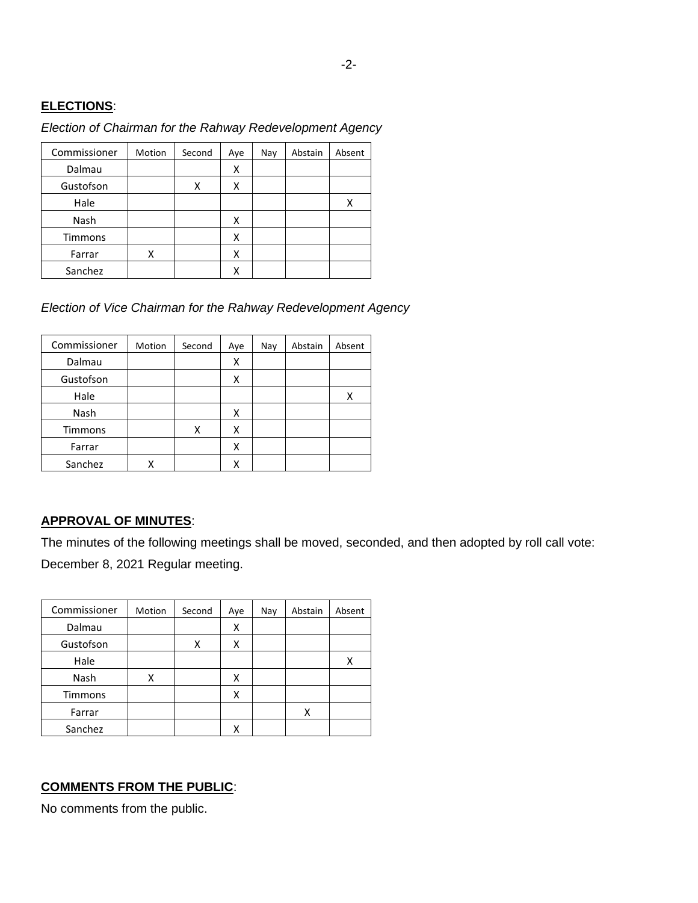# **ELECTIONS**:

# *Election of Chairman for the Rahway Redevelopment Agency*

| Commissioner   | Motion | Second | Aye | Nay | Abstain | Absent |
|----------------|--------|--------|-----|-----|---------|--------|
| Dalmau         |        |        | Χ   |     |         |        |
| Gustofson      |        | x      | x   |     |         |        |
| Hale           |        |        |     |     |         | Χ      |
| Nash           |        |        | x   |     |         |        |
| <b>Timmons</b> |        |        | х   |     |         |        |
| Farrar         | х      |        | х   |     |         |        |
| Sanchez        |        |        | x   |     |         |        |

*Election of Vice Chairman for the Rahway Redevelopment Agency*

| Commissioner | Motion | Second | Aye | Nay | Abstain | Absent |
|--------------|--------|--------|-----|-----|---------|--------|
| Dalmau       |        |        | Χ   |     |         |        |
| Gustofson    |        |        | Χ   |     |         |        |
| Hale         |        |        |     |     |         |        |
| Nash         |        |        | x   |     |         |        |
| Timmons      |        | x      | Χ   |     |         |        |
| Farrar       |        |        | Χ   |     |         |        |
| Sanchez      |        |        | х   |     |         |        |

# **APPROVAL OF MINUTES**:

The minutes of the following meetings shall be moved, seconded, and then adopted by roll call vote: December 8, 2021 Regular meeting.

| Commissioner | Motion | Second | Aye | Nay | Abstain | Absent |
|--------------|--------|--------|-----|-----|---------|--------|
| Dalmau       |        |        | Χ   |     |         |        |
| Gustofson    |        | х      | х   |     |         |        |
| Hale         |        |        |     |     |         |        |
| Nash         | Χ      |        | Χ   |     |         |        |
| Timmons      |        |        | х   |     |         |        |
| Farrar       |        |        |     |     | x       |        |
| Sanchez      |        |        |     |     |         |        |

# **COMMENTS FROM THE PUBLIC**:

No comments from the public.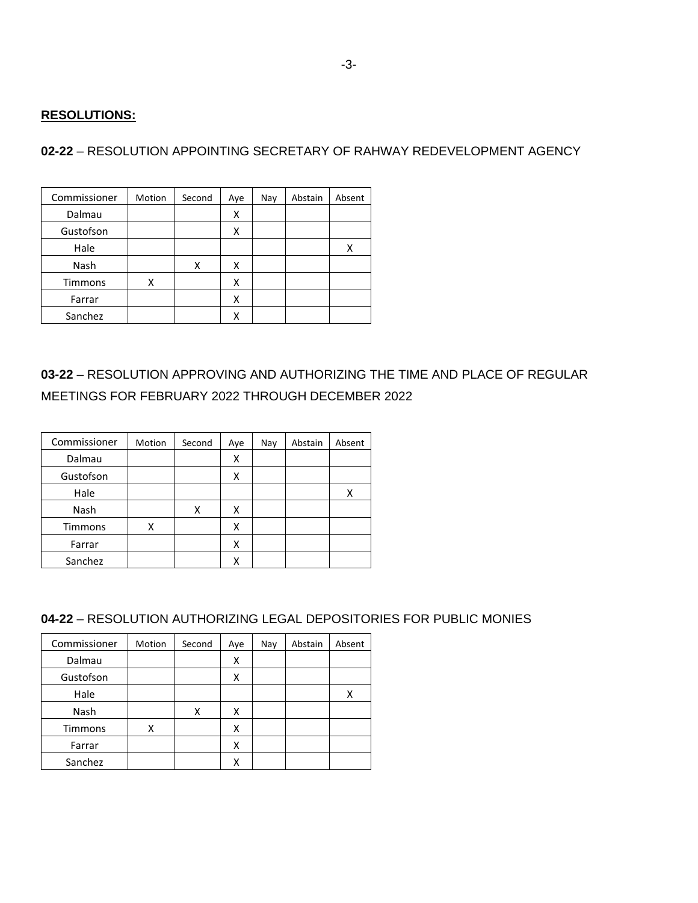#### **RESOLUTIONS:**

**02-22** – RESOLUTION APPOINTING SECRETARY OF RAHWAY REDEVELOPMENT AGENCY

| Commissioner | Motion | Second | Aye | Nay | Abstain | Absent |
|--------------|--------|--------|-----|-----|---------|--------|
| Dalmau       |        |        | х   |     |         |        |
| Gustofson    |        |        | Χ   |     |         |        |
| Hale         |        |        |     |     |         | х      |
| Nash         |        | Χ      | х   |     |         |        |
| Timmons      | χ      |        | x   |     |         |        |
| Farrar       |        |        | Χ   |     |         |        |
| Sanchez      |        |        |     |     |         |        |

**03-22** – RESOLUTION APPROVING AND AUTHORIZING THE TIME AND PLACE OF REGULAR MEETINGS FOR FEBRUARY 2022 THROUGH DECEMBER 2022

| Commissioner | Motion | Second | Aye | Nay | Abstain | Absent |
|--------------|--------|--------|-----|-----|---------|--------|
| Dalmau       |        |        | х   |     |         |        |
| Gustofson    |        |        | Χ   |     |         |        |
| Hale         |        |        |     |     |         | х      |
| Nash         |        | x      | х   |     |         |        |
| Timmons      | χ      |        | Χ   |     |         |        |
| Farrar       |        |        | х   |     |         |        |
| Sanchez      |        |        | x   |     |         |        |

#### **04-22** – RESOLUTION AUTHORIZING LEGAL DEPOSITORIES FOR PUBLIC MONIES

| Commissioner | Motion | Second | Aye | Nay | Abstain | Absent |
|--------------|--------|--------|-----|-----|---------|--------|
| Dalmau       |        |        | х   |     |         |        |
| Gustofson    |        |        | X   |     |         |        |
| Hale         |        |        |     |     |         |        |
| Nash         |        | x      | x   |     |         |        |
| Timmons      | х      |        | Χ   |     |         |        |
| Farrar       |        |        | Χ   |     |         |        |
| Sanchez      |        |        | χ   |     |         |        |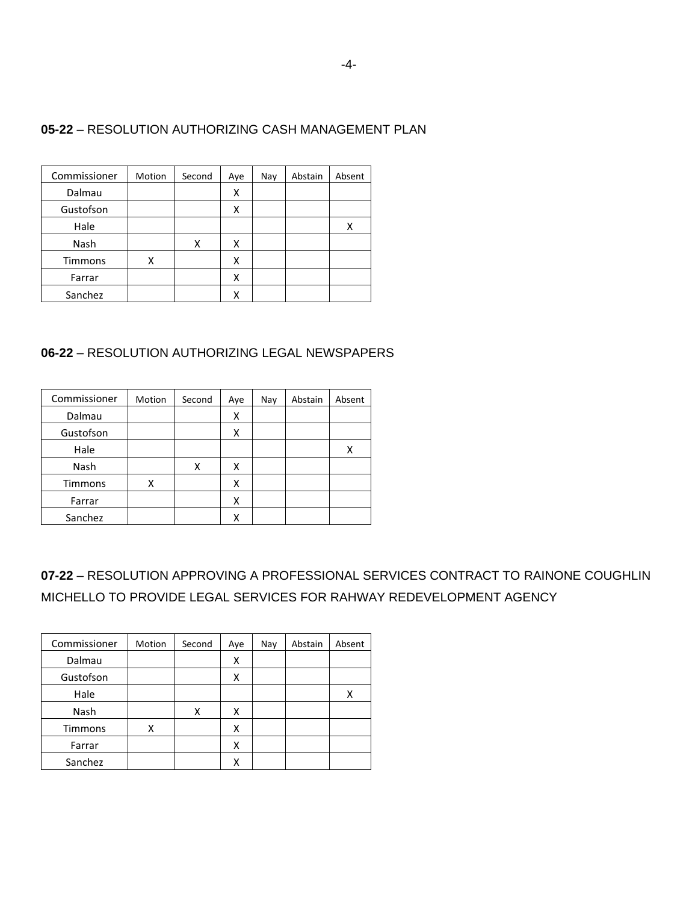#### **05-22** – RESOLUTION AUTHORIZING CASH MANAGEMENT PLAN

| Commissioner | Motion | Second | Aye | Nay | Abstain | Absent |
|--------------|--------|--------|-----|-----|---------|--------|
| Dalmau       |        |        | х   |     |         |        |
| Gustofson    |        |        | x   |     |         |        |
| Hale         |        |        |     |     |         | Χ      |
| Nash         |        | x      | х   |     |         |        |
| Timmons      | χ      |        | x   |     |         |        |
| Farrar       |        |        | Χ   |     |         |        |
| Sanchez      |        |        | х   |     |         |        |

#### **06-22** – RESOLUTION AUTHORIZING LEGAL NEWSPAPERS

| Commissioner | Motion | Second | Aye | Nay | Abstain | Absent |
|--------------|--------|--------|-----|-----|---------|--------|
| Dalmau       |        |        | Χ   |     |         |        |
| Gustofson    |        |        | Χ   |     |         |        |
| Hale         |        |        |     |     |         |        |
| Nash         |        | х      | x   |     |         |        |
| Timmons      | х      |        | Χ   |     |         |        |
| Farrar       |        |        | х   |     |         |        |
| Sanchez      |        |        | х   |     |         |        |

**07-22** – RESOLUTION APPROVING A PROFESSIONAL SERVICES CONTRACT TO RAINONE COUGHLIN MICHELLO TO PROVIDE LEGAL SERVICES FOR RAHWAY REDEVELOPMENT AGENCY

| Commissioner | Motion | Second | Aye | Nay | Abstain | Absent |
|--------------|--------|--------|-----|-----|---------|--------|
| Dalmau       |        |        | х   |     |         |        |
| Gustofson    |        |        | Χ   |     |         |        |
| Hale         |        |        |     |     |         | Χ      |
| Nash         |        | х      | Χ   |     |         |        |
| Timmons      | x      |        | х   |     |         |        |
| Farrar       |        |        | Χ   |     |         |        |
| Sanchez      |        |        | х   |     |         |        |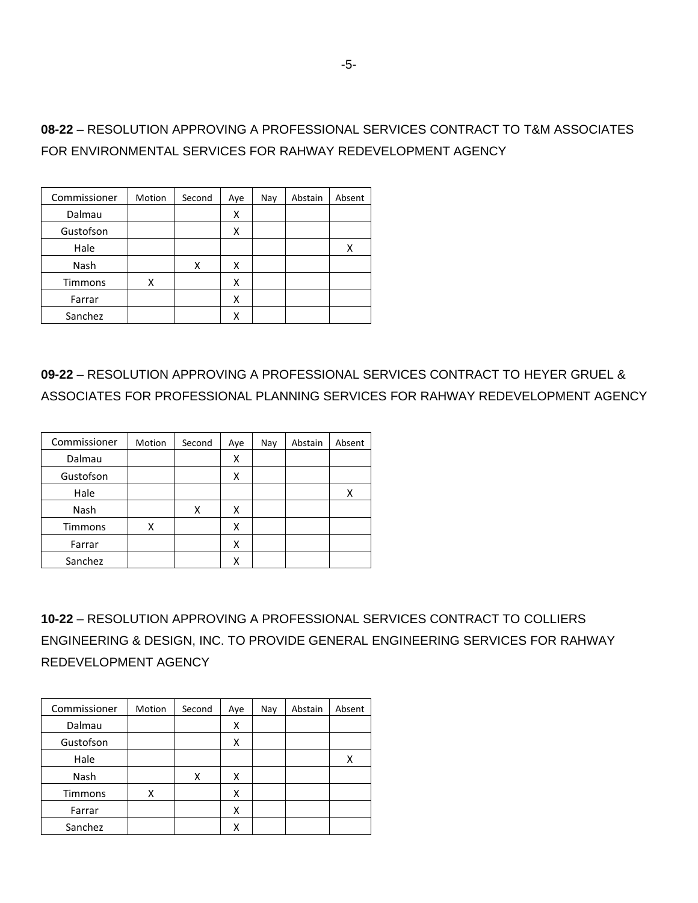**08-22** – RESOLUTION APPROVING A PROFESSIONAL SERVICES CONTRACT TO T&M ASSOCIATES FOR ENVIRONMENTAL SERVICES FOR RAHWAY REDEVELOPMENT AGENCY

| Commissioner | Motion | Second | Aye | Nay | Abstain | Absent |
|--------------|--------|--------|-----|-----|---------|--------|
| Dalmau       |        |        | x   |     |         |        |
| Gustofson    |        |        | х   |     |         |        |
| Hale         |        |        |     |     |         |        |
| Nash         |        | х      | x   |     |         |        |
| Timmons      | х      |        | Χ   |     |         |        |
| Farrar       |        |        | X   |     |         |        |
| Sanchez      |        |        | х   |     |         |        |

**09-22** – RESOLUTION APPROVING A PROFESSIONAL SERVICES CONTRACT TO HEYER GRUEL & ASSOCIATES FOR PROFESSIONAL PLANNING SERVICES FOR RAHWAY REDEVELOPMENT AGENCY

| Commissioner   | Motion | Second | Aye | Nay | Abstain | Absent |
|----------------|--------|--------|-----|-----|---------|--------|
| Dalmau         |        |        | Χ   |     |         |        |
| Gustofson      |        |        | Χ   |     |         |        |
| Hale           |        |        |     |     |         | x      |
| Nash           |        | x      | x   |     |         |        |
| <b>Timmons</b> | х      |        | Χ   |     |         |        |
| Farrar         |        |        | χ   |     |         |        |
| Sanchez        |        |        | х   |     |         |        |

**10-22** – RESOLUTION APPROVING A PROFESSIONAL SERVICES CONTRACT TO COLLIERS ENGINEERING & DESIGN, INC. TO PROVIDE GENERAL ENGINEERING SERVICES FOR RAHWAY REDEVELOPMENT AGENCY

| Commissioner | Motion | Second | Aye | Nay | Abstain | Absent |
|--------------|--------|--------|-----|-----|---------|--------|
| Dalmau       |        |        | х   |     |         |        |
| Gustofson    |        |        | х   |     |         |        |
| Hale         |        |        |     |     |         |        |
| Nash         |        | х      | x   |     |         |        |
| Timmons      | Χ      |        | х   |     |         |        |
| Farrar       |        |        | х   |     |         |        |
| Sanchez      |        |        | х   |     |         |        |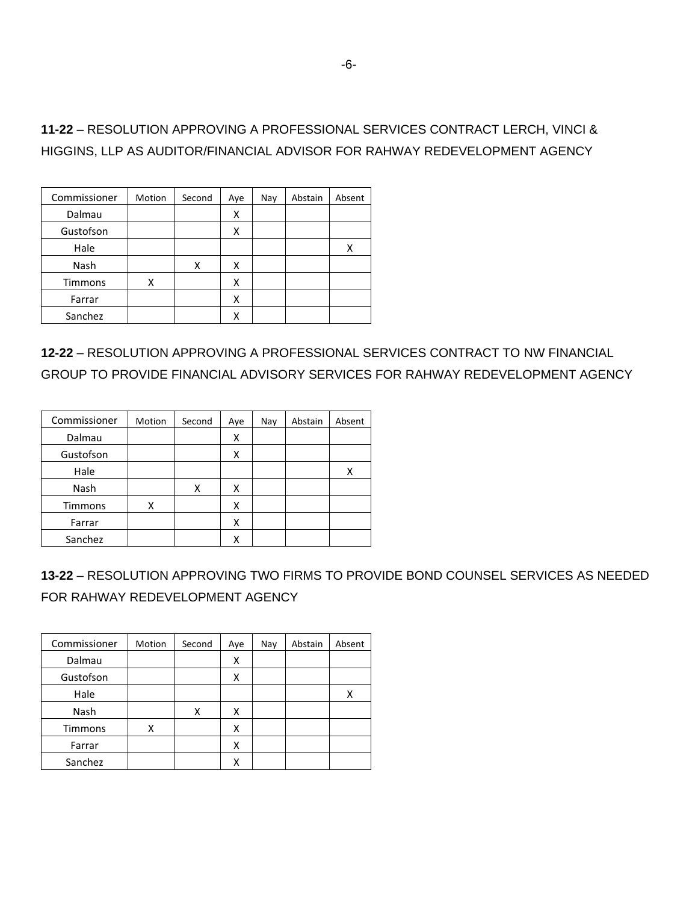# **11-22** – RESOLUTION APPROVING A PROFESSIONAL SERVICES CONTRACT LERCH, VINCI & HIGGINS, LLP AS AUDITOR/FINANCIAL ADVISOR FOR RAHWAY REDEVELOPMENT AGENCY

| Commissioner | Motion | Second | Aye | Nay | Abstain | Absent |
|--------------|--------|--------|-----|-----|---------|--------|
| Dalmau       |        |        | x   |     |         |        |
| Gustofson    |        |        | Χ   |     |         |        |
| Hale         |        |        |     |     |         |        |
| Nash         |        | Χ      | x   |     |         |        |
| Timmons      | χ      |        | х   |     |         |        |
| Farrar       |        |        | x   |     |         |        |
| Sanchez      |        |        | х   |     |         |        |

**12-22** – RESOLUTION APPROVING A PROFESSIONAL SERVICES CONTRACT TO NW FINANCIAL GROUP TO PROVIDE FINANCIAL ADVISORY SERVICES FOR RAHWAY REDEVELOPMENT AGENCY

| Commissioner | Motion | Second | Aye | Nay | Abstain | Absent |
|--------------|--------|--------|-----|-----|---------|--------|
| Dalmau       |        |        | Χ   |     |         |        |
| Gustofson    |        |        | X   |     |         |        |
| Hale         |        |        |     |     |         | Χ      |
| Nash         |        | x      | x   |     |         |        |
| Timmons      | x      |        | Χ   |     |         |        |
| Farrar       |        |        | x   |     |         |        |
| Sanchez      |        |        | х   |     |         |        |

**13-22** – RESOLUTION APPROVING TWO FIRMS TO PROVIDE BOND COUNSEL SERVICES AS NEEDED FOR RAHWAY REDEVELOPMENT AGENCY

| Commissioner   | Motion | Second | Aye | Nay | Abstain | Absent |
|----------------|--------|--------|-----|-----|---------|--------|
| Dalmau         |        |        | х   |     |         |        |
| Gustofson      |        |        | Χ   |     |         |        |
| Hale           |        |        |     |     |         | Χ      |
| Nash           |        | х      | x   |     |         |        |
| <b>Timmons</b> | х      |        | Χ   |     |         |        |
| Farrar         |        |        | Χ   |     |         |        |
| Sanchez        |        |        | x   |     |         |        |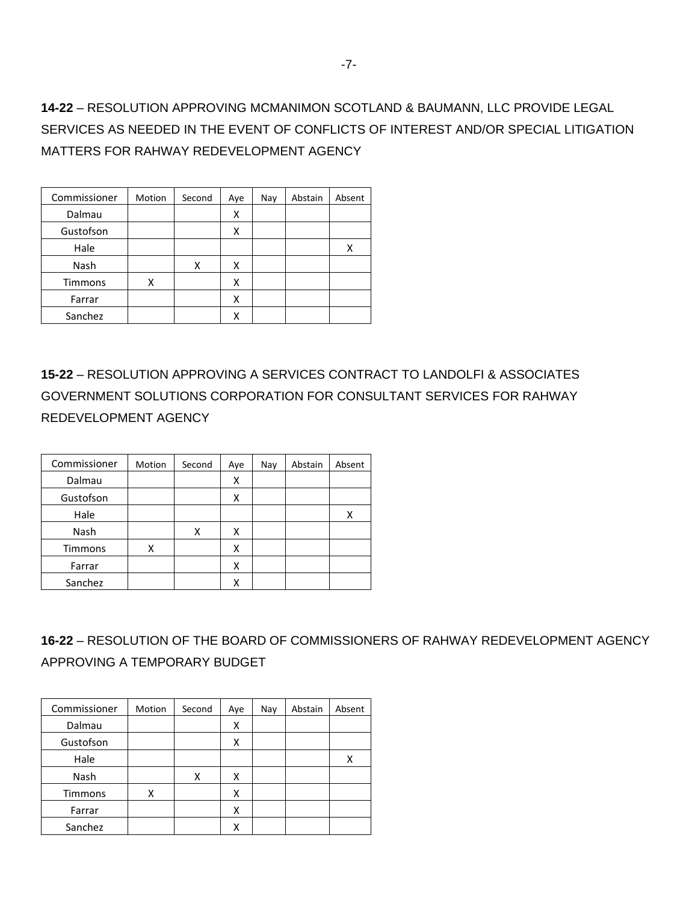# **14-22** – RESOLUTION APPROVING MCMANIMON SCOTLAND & BAUMANN, LLC PROVIDE LEGAL SERVICES AS NEEDED IN THE EVENT OF CONFLICTS OF INTEREST AND/OR SPECIAL LITIGATION MATTERS FOR RAHWAY REDEVELOPMENT AGENCY

| Commissioner | Motion | Second | Aye | Nay | Abstain | Absent |
|--------------|--------|--------|-----|-----|---------|--------|
| Dalmau       |        |        | х   |     |         |        |
| Gustofson    |        |        | Χ   |     |         |        |
| Hale         |        |        |     |     |         |        |
| Nash         |        | х      | x   |     |         |        |
| Timmons      | х      |        | Χ   |     |         |        |
| Farrar       |        |        | Χ   |     |         |        |
| Sanchez      |        |        | χ   |     |         |        |

**15-22** – RESOLUTION APPROVING A SERVICES CONTRACT TO LANDOLFI & ASSOCIATES GOVERNMENT SOLUTIONS CORPORATION FOR CONSULTANT SERVICES FOR RAHWAY REDEVELOPMENT AGENCY

| Commissioner | Motion | Second | Aye | Nay | Abstain | Absent |
|--------------|--------|--------|-----|-----|---------|--------|
| Dalmau       |        |        | Χ   |     |         |        |
| Gustofson    |        |        | Χ   |     |         |        |
| Hale         |        |        |     |     |         | x      |
| Nash         |        | x      | Χ   |     |         |        |
| Timmons      | Χ      |        | Χ   |     |         |        |
| Farrar       |        |        | х   |     |         |        |
| Sanchez      |        |        | х   |     |         |        |

| 16-22 – RESOLUTION OF THE BOARD OF COMMISSIONERS OF RAHWAY REDEVELOPMENT AGENCY |  |
|---------------------------------------------------------------------------------|--|
| APPROVING A TEMPORARY BUDGET                                                    |  |

| Commissioner | Motion | Second | Aye | Nay | Abstain | Absent |
|--------------|--------|--------|-----|-----|---------|--------|
| Dalmau       |        |        | Χ   |     |         |        |
| Gustofson    |        |        | Χ   |     |         |        |
| Hale         |        |        |     |     |         |        |
| Nash         |        | х      | x   |     |         |        |
| Timmons      | χ      |        | х   |     |         |        |
| Farrar       |        |        | х   |     |         |        |
| Sanchez      |        |        |     |     |         |        |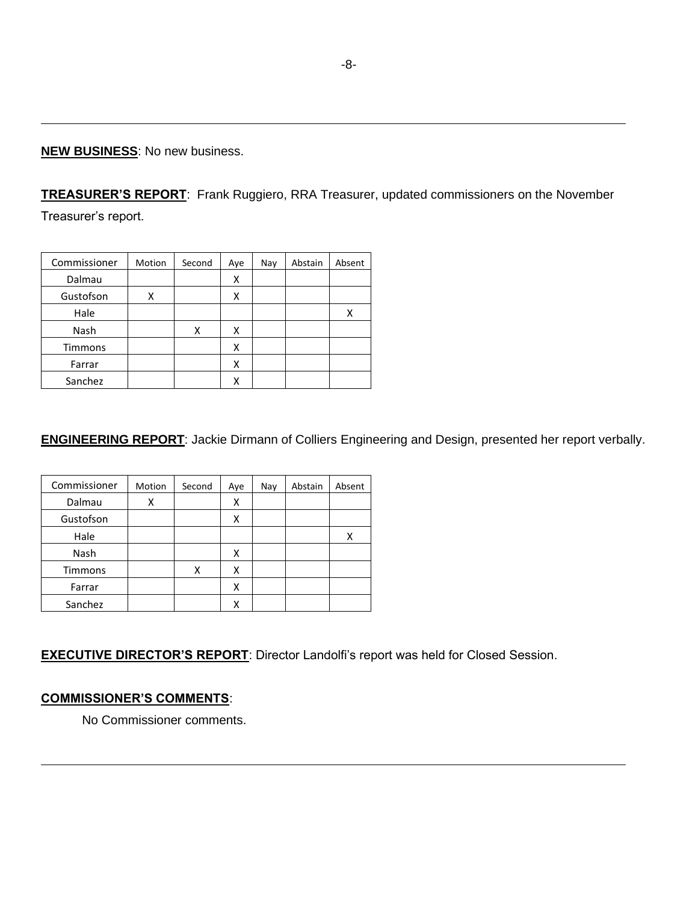**NEW BUSINESS**: No new business.

**TREASURER'S REPORT**: Frank Ruggiero, RRA Treasurer, updated commissioners on the November Treasurer's report.

| Commissioner | Motion | Second | Aye | Nay | Abstain | Absent |
|--------------|--------|--------|-----|-----|---------|--------|
| Dalmau       |        |        | x   |     |         |        |
| Gustofson    | х      |        | Χ   |     |         |        |
| Hale         |        |        |     |     |         |        |
| Nash         |        | x      | x   |     |         |        |
| Timmons      |        |        | Χ   |     |         |        |
| Farrar       |        |        | X   |     |         |        |
| Sanchez      |        |        | х   |     |         |        |

**ENGINEERING REPORT**: Jackie Dirmann of Colliers Engineering and Design, presented her report verbally.

| Commissioner   | Motion | Second | Aye | Nay | Abstain | Absent |
|----------------|--------|--------|-----|-----|---------|--------|
| Dalmau         | Χ      |        | Χ   |     |         |        |
| Gustofson      |        |        | Χ   |     |         |        |
| Hale           |        |        |     |     |         |        |
| Nash           |        |        | x   |     |         |        |
| <b>Timmons</b> |        | х      | x   |     |         |        |
| Farrar         |        |        | х   |     |         |        |
| Sanchez        |        |        |     |     |         |        |

**EXECUTIVE DIRECTOR'S REPORT**: Director Landolfi's report was held for Closed Session.

#### **COMMISSIONER'S COMMENTS**:

No Commissioner comments.